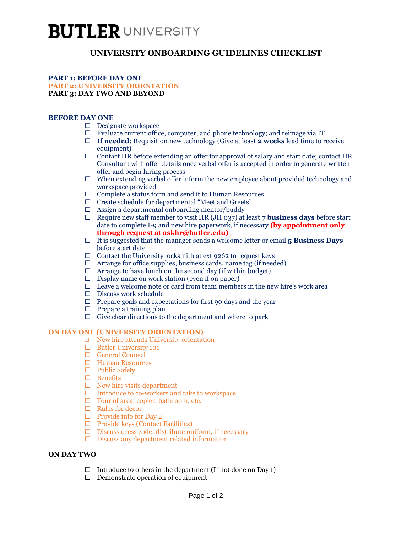# **BUTLER UNIVERSITY**

# **UNIVERSITY ONBOARDING GUIDELINES CHECKLIST**

#### **PART 1: BEFORE DAY ONE PART 2: UNIVERSITY ORIENTATION PART 3: DAY TWO AND BEYOND**

## **BEFORE DAY ONE**

- $\Box$  Designate workspace
- $\Box$  Evaluate current office, computer, and phone technology; and reimage via IT
- **If needed:** Requisition new technology (Give at least **2 weeks** lead time to receive equipment)
- $\Box$  Contact HR before extending an offer for approval of salary and start date; contact HR Consultant with offer details once verbal offer is accepted in order to generate written offer and begin hiring process
- $\Box$  When extending verbal offer inform the new employee about provided technology and workspace provided
- $\Box$  Complete a status form and send it to Human Resources
- Create schedule for departmental "Meet and Greets"
- $\Box$  Assign a departmental onboarding mentor/buddy
- $\Box$  Require new staff member to visit HR (JH 037) at least 7 **business days** before start date to complete I-9 and new hire paperwork, if necessary **(by appointment only through request at askhr@butler.edu)**
- It is suggested that the manager sends a welcome letter or email **5 Business Days**  before start date
- $\Box$  Contact the University locksmith at ext 9262 to request keys
- $\Box$  Arrange for office supplies, business cards, name tag (if needed)
- $\Box$  Arrange to have lunch on the second day (if within budget)
- $\Box$  Display name on work station (even if on paper)
- $\Box$  Leave a welcome note or card from team members in the new hire's work area
- $\Box$  Discuss work schedule
- $\Box$  Prepare goals and expectations for first 90 days and the year
- $\Box$  Prepare a training plan
- $\Box$  Give clear directions to the department and where to park

#### **ON DAY ONE (UNIVERSITY ORIENTATION)**

- □ New hire attends University orientation
- $\Box$  Butler University 101
- General Counsel
- Human Resources
- $\Box$  Public Safety
- □ Benefits
- $\Box$  New hire visits department
- $\Box$  Introduce to co-workers and take to workspace
- $\Box$  Tour of area, copier, bathroom, etc.
- $\Box$  Rules for decor
- $\Box$  Provide info for Day 2
- $\Box$  Provide keys (Contact Facilities)
- $\Box$  Discuss dress code; distribute uniform, if necessary
- $\Box$  Discuss any department related information

#### **ON DAY TWO**

- $\Box$  Introduce to others in the department (If not done on Day 1)
- $\Box$  Demonstrate operation of equipment